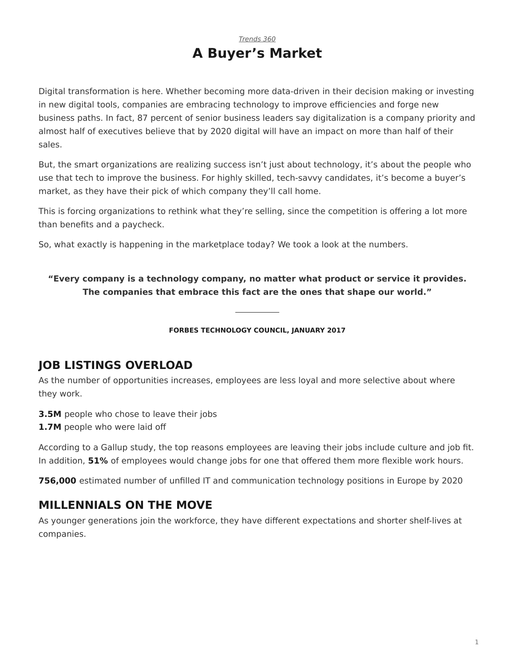### *[Trends 360](https://www.steelcase.com/research/topics/trends-360/)* **A Buyer's Market**

<span id="page-0-0"></span>Digital transformation is here. Whether becoming more data-driven in their decision making or investing in new digital tools, companies are embracing technology to improve efficiencies and forge new business paths. In fact, 87 percent of senior business leaders say digitalization is a company priority and almost half of executives believe that by 2020 digital will have an impact on more than half of their sales.

But, the smart organizations are realizing success isn't just about technology, it's about the people who use that tech to improve the business. For highly skilled, tech-savvy candidates, it's become a buyer's market, as they have their pick of which company they'll call home.

This is forcing organizations to rethink what they're selling, since the competition is offering a lot more than benefits and a paycheck.

So, what exactly is happening in the marketplace today? We took a look at the numbers.

**"Every company is a technology company, no matter what product or service it provides. The companies that embrace this fact are the ones that shape our world."**

**FORBES TECHNOLOGY COUNCIL, JANUARY 2017**

# **JOB LISTINGS OVERLOAD**

As the number of opportunities increases, employees are less loyal and more selective about where they work.

**3.5M** people who chose to leave their jobs

**1.7M** people who were laid off

According to a Gallup study, the top reasons employees are leaving their jobs include culture and job fit. In addition, **51%** of employees would change jobs for one that offered them more flexible work hours.

**756,000** estimated number of unfilled IT and communication technology positions in Europe by 2020

# **MILLENNIALS ON THE MOVE**

As younger generations join the workforce, they have different expectations and shorter shelf-lives at companies.